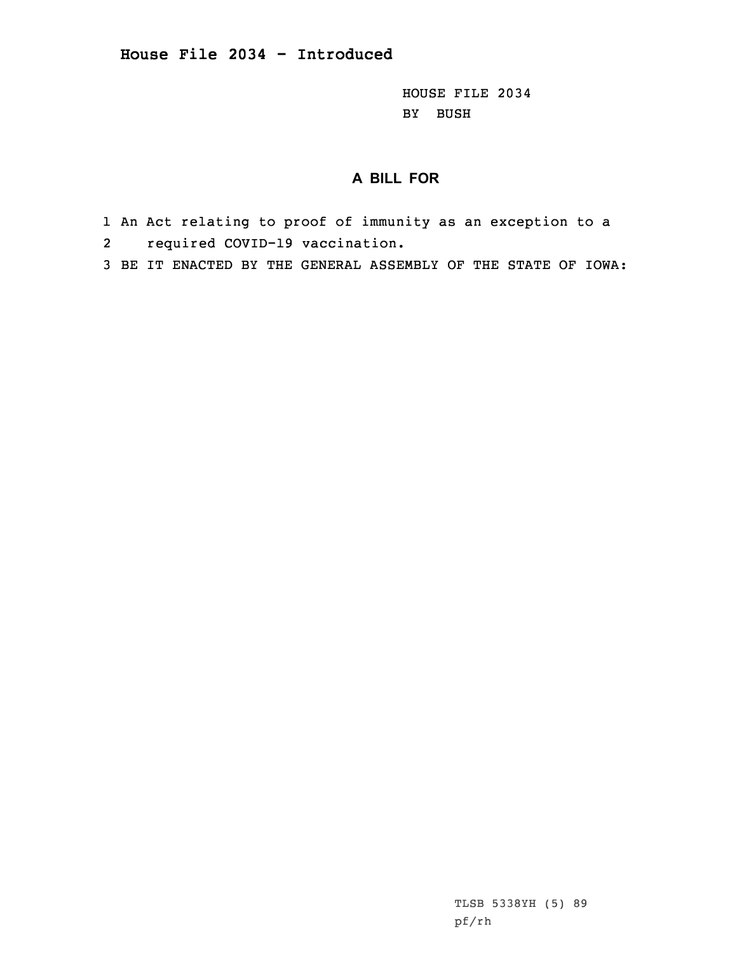HOUSE FILE 2034 BY BUSH

## **A BILL FOR**

- 1 An Act relating to proof of immunity as an exception to <sup>a</sup> 2required COVID-19 vaccination.
- 3 BE IT ENACTED BY THE GENERAL ASSEMBLY OF THE STATE OF IOWA:

TLSB 5338YH (5) 89 pf/rh